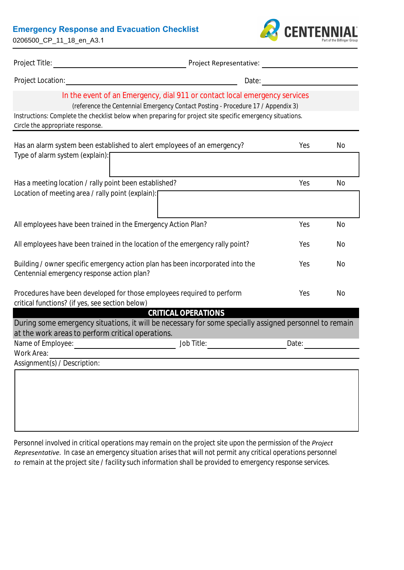## **Emergency Response and Evacuation Checklist**

0206500\_CP\_11\_18\_en\_A3.1



|                                                                                                                                                             | <b>Project Representative:</b> Note that the project Representative:                                                                                                                                                          |                |           |  |  |  |
|-------------------------------------------------------------------------------------------------------------------------------------------------------------|-------------------------------------------------------------------------------------------------------------------------------------------------------------------------------------------------------------------------------|----------------|-----------|--|--|--|
|                                                                                                                                                             | Date: and the contract of the contract of the contract of the contract of the contract of the contract of the contract of the contract of the contract of the contract of the contract of the contract of the contract of the |                |           |  |  |  |
|                                                                                                                                                             | In the event of an Emergency, dial 911 or contact local emergency services                                                                                                                                                    |                |           |  |  |  |
| (reference the Centennial Emergency Contact Posting - Procedure 17 / Appendix 3)                                                                            |                                                                                                                                                                                                                               |                |           |  |  |  |
| Instructions: Complete the checklist below when preparing for project site specific emergency situations.<br>Circle the appropriate response.               |                                                                                                                                                                                                                               |                |           |  |  |  |
| Has an alarm system been established to alert employees of an emergency?<br>Type of alarm system (explain):                                                 |                                                                                                                                                                                                                               | Yes            | <b>No</b> |  |  |  |
| Has a meeting location / rally point been established?                                                                                                      |                                                                                                                                                                                                                               | Yes            | <b>No</b> |  |  |  |
| Location of meeting area / rally point (explain):                                                                                                           |                                                                                                                                                                                                                               |                |           |  |  |  |
| All employees have been trained in the Emergency Action Plan?                                                                                               |                                                                                                                                                                                                                               | Yes            | <b>No</b> |  |  |  |
| All employees have been trained in the location of the emergency rally point?                                                                               | Yes                                                                                                                                                                                                                           | N <sub>o</sub> |           |  |  |  |
| Building / owner specific emergency action plan has been incorporated into the<br>Centennial emergency response action plan?                                | Yes                                                                                                                                                                                                                           | No             |           |  |  |  |
| Procedures have been developed for those employees required to perform<br>critical functions? (if yes, see section below)                                   | Yes                                                                                                                                                                                                                           | <b>No</b>      |           |  |  |  |
|                                                                                                                                                             | <b>CRITICAL OPERATIONS</b>                                                                                                                                                                                                    |                |           |  |  |  |
| During some emergency situations, it will be necessary for some specially assigned personnel to remain<br>at the work areas to perform critical operations. |                                                                                                                                                                                                                               |                |           |  |  |  |
| <b>Name of Employee:</b><br><u> 1980 - Jan Stein Stein Stein Stein Stein Stein Stein Stein Stein Stein Stein Stein Stein Stein Stein Stein S</u>            | <b>Job Title:</b>                                                                                                                                                                                                             | Date:          |           |  |  |  |
| <b>Work Area:</b>                                                                                                                                           |                                                                                                                                                                                                                               |                |           |  |  |  |
| <b>Assignment(s) / Description:</b>                                                                                                                         |                                                                                                                                                                                                                               |                |           |  |  |  |
|                                                                                                                                                             |                                                                                                                                                                                                                               |                |           |  |  |  |

Personnel involved in critical operations may remain on the project site upon the permission of the Project Representative. In case an emergency situation arises that will not permit any critical operations personnel to remain at the project site / facility such information shall be provided to emergency response services.